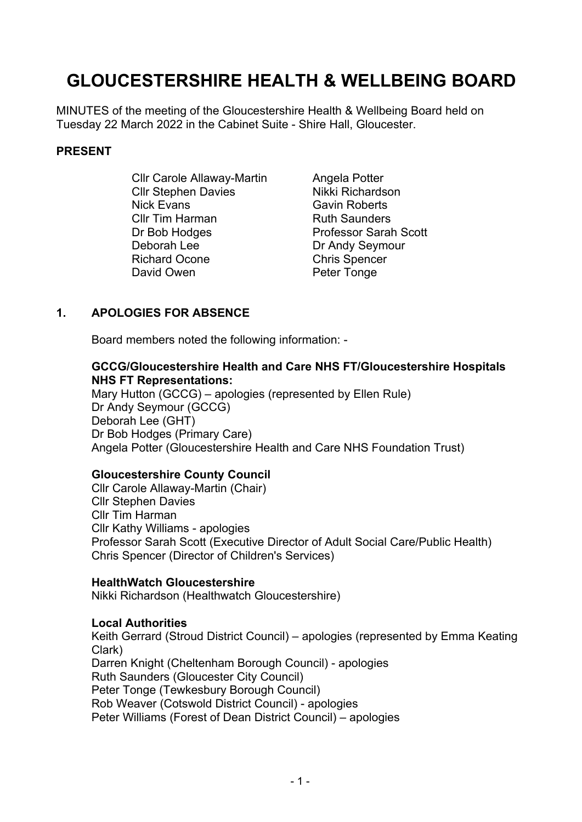# **GLOUCESTERSHIRE HEALTH & WELLBEING BOARD**

MINUTES of the meeting of the Gloucestershire Health & Wellbeing Board held on Tuesday 22 March 2022 in the Cabinet Suite - Shire Hall, Gloucester.

#### **PRESENT**

Cllr Carole Allaway-Martin Cllr Stephen Davies Nick Evans Cllr Tim Harman Dr Bob Hodges Deborah Lee Richard Ocone David Owen

Angela Potter Nikki Richardson Gavin Roberts Ruth Saunders Professor Sarah Scott Dr Andy Seymour Chris Spencer Peter Tonge

## **1. APOLOGIES FOR ABSENCE**

Board members noted the following information: -

## **GCCG/Gloucestershire Health and Care NHS FT/Gloucestershire Hospitals NHS FT Representations:**

Mary Hutton (GCCG) – apologies (represented by Ellen Rule) Dr Andy Seymour (GCCG) Deborah Lee (GHT) Dr Bob Hodges (Primary Care) Angela Potter (Gloucestershire Health and Care NHS Foundation Trust)

## **Gloucestershire County Council**

Cllr Carole Allaway-Martin (Chair) Cllr Stephen Davies Cllr Tim Harman Cllr Kathy Williams - apologies Professor Sarah Scott (Executive Director of Adult Social Care/Public Health) Chris Spencer (Director of Children's Services)

## **HealthWatch Gloucestershire**

Nikki Richardson (Healthwatch Gloucestershire)

## **Local Authorities**

Keith Gerrard (Stroud District Council) – apologies (represented by Emma Keating Clark) Darren Knight (Cheltenham Borough Council) - apologies Ruth Saunders (Gloucester City Council) Peter Tonge (Tewkesbury Borough Council) Rob Weaver (Cotswold District Council) - apologies Peter Williams (Forest of Dean District Council) – apologies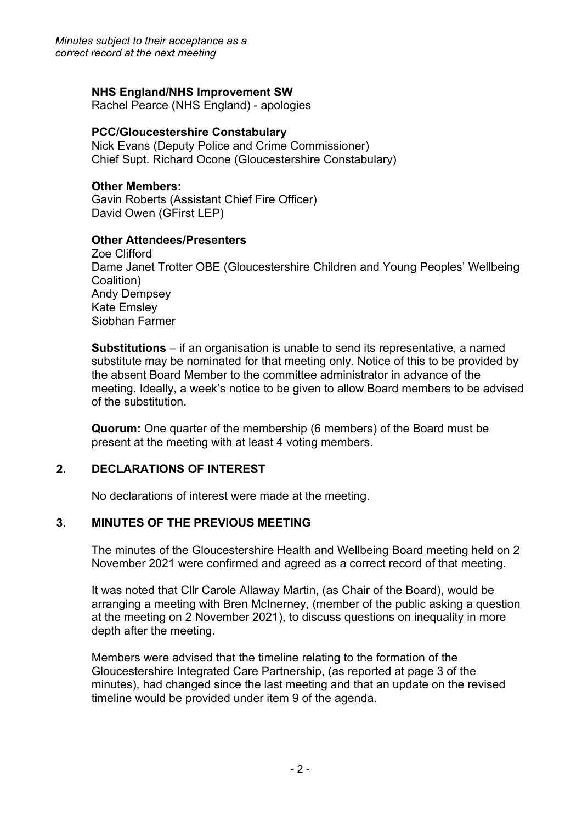*Minutes subject to their acceptance as a correct record at the next meeting*

## **NHS England/NHS Improvement SW**

Rachel Pearce (NHS England) - apologies

## **PCC/Gloucestershire Constabulary**

Nick Evans (Deputy Police and Crime Commissioner) Chief Supt. Richard Ocone (Gloucestershire Constabulary)

## **Other Members:**

Gavin Roberts (Assistant Chief Fire Officer) David Owen (GFirst LEP)

## **Other Attendees/Presenters**

Zoe Clifford Dame Janet Trotter OBE (Gloucestershire Children and Young Peoples' Wellbeing Coalition) Andy Dempsey Kate Emsley Siobhan Farmer

**Substitutions** – if an organisation is unable to send its representative, a named substitute may be nominated for that meeting only. Notice of this to be provided by the absent Board Member to the committee administrator in advance of the meeting. Ideally, a week's notice to be given to allow Board members to be advised of the substitution.

**Quorum:** One quarter of the membership (6 members) of the Board must be present at the meeting with at least 4 voting members.

# **2. DECLARATIONS OF INTEREST**

No declarations of interest were made at the meeting.

# **3. MINUTES OF THE PREVIOUS MEETING**

The minutes of the Gloucestershire Health and Wellbeing Board meeting held on 2 November 2021 were confirmed and agreed as a correct record of that meeting.

It was noted that Cllr Carole Allaway Martin, (as Chair of the Board), would be arranging a meeting with Bren McInerney, (member of the public asking a question at the meeting on 2 November 2021), to discuss questions on inequality in more depth after the meeting.

Members were advised that the timeline relating to the formation of the Gloucestershire Integrated Care Partnership, (as reported at page 3 of the minutes), had changed since the last meeting and that an update on the revised timeline would be provided under item 9 of the agenda.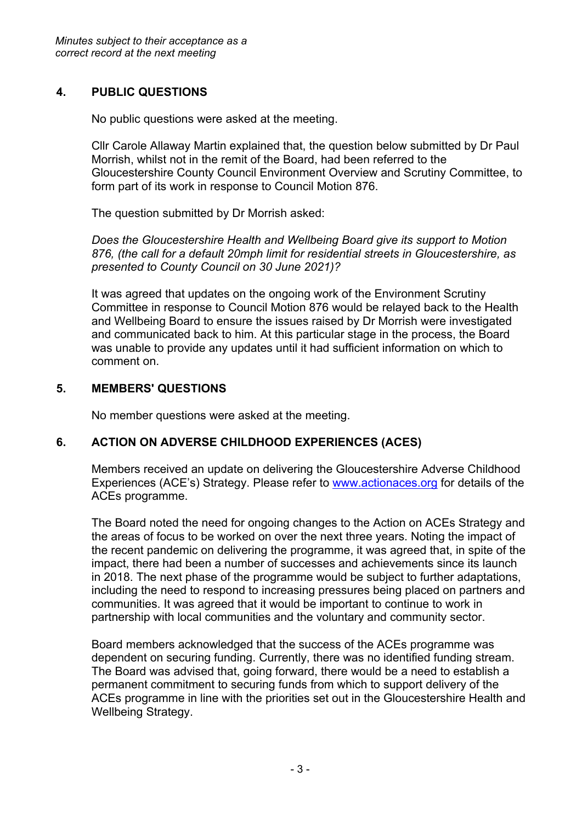# **4. PUBLIC QUESTIONS**

No public questions were asked at the meeting.

Cllr Carole Allaway Martin explained that, the question below submitted by Dr Paul Morrish, whilst not in the remit of the Board, had been referred to the Gloucestershire County Council Environment Overview and Scrutiny Committee, to form part of its work in response to Council Motion 876.

The question submitted by Dr Morrish asked:

*Does the Gloucestershire Health and Wellbeing Board give its support to Motion 876, (the call for a default 20mph limit for residential streets in Gloucestershire, as presented to County Council on 30 June 2021)?*

It was agreed that updates on the ongoing work of the Environment Scrutiny Committee in response to Council Motion 876 would be relayed back to the Health and Wellbeing Board to ensure the issues raised by Dr Morrish were investigated and communicated back to him. At this particular stage in the process, the Board was unable to provide any updates until it had sufficient information on which to comment on.

# **5. MEMBERS' QUESTIONS**

No member questions were asked at the meeting.

# **6. ACTION ON ADVERSE CHILDHOOD EXPERIENCES (ACES)**

Members received an update on delivering the Gloucestershire Adverse Childhood Experiences (ACE's) Strategy. Please refer to [www.actionaces.org](http://www.actionaces.org/) for details of the ACEs programme.

The Board noted the need for ongoing changes to the Action on ACEs Strategy and the areas of focus to be worked on over the next three years. Noting the impact of the recent pandemic on delivering the programme, it was agreed that, in spite of the impact, there had been a number of successes and achievements since its launch in 2018. The next phase of the programme would be subject to further adaptations, including the need to respond to increasing pressures being placed on partners and communities. It was agreed that it would be important to continue to work in partnership with local communities and the voluntary and community sector.

Board members acknowledged that the success of the ACEs programme was dependent on securing funding. Currently, there was no identified funding stream. The Board was advised that, going forward, there would be a need to establish a permanent commitment to securing funds from which to support delivery of the ACEs programme in line with the priorities set out in the Gloucestershire Health and Wellbeing Strategy.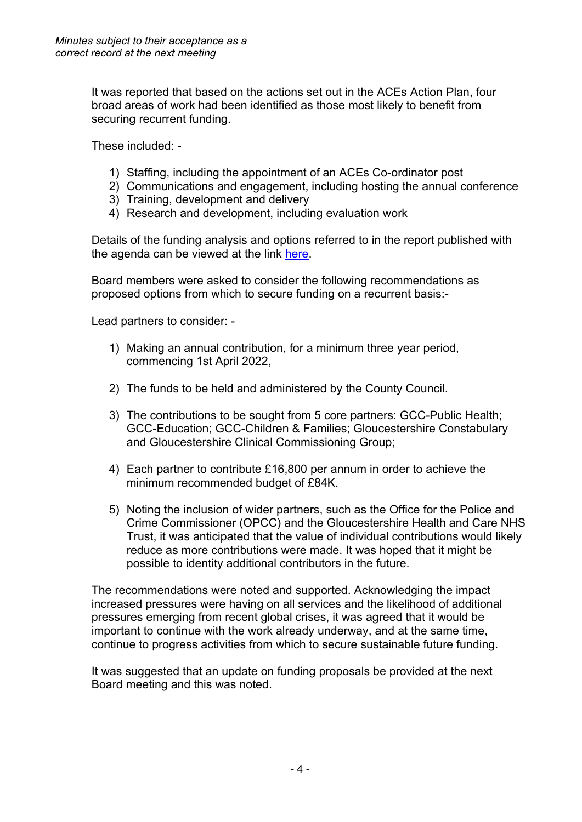It was reported that based on the actions set out in the ACEs Action Plan, four broad areas of work had been identified as those most likely to benefit from securing recurrent funding.

These included: -

- 1) Staffing, including the appointment of an ACEs Co-ordinator post
- 2) Communications and engagement, including hosting the annual conference
- 3) Training, development and delivery
- 4) Research and development, including evaluation work

Details of the funding analysis and options referred to in the report published with the agenda can be viewed at the link [here.](https://glostext.gloucestershire.gov.uk/documents/s80590/Item%206%20-%20ACEs%20Update%20Report.pdf)

Board members were asked to consider the following recommendations as proposed options from which to secure funding on a recurrent basis:-

Lead partners to consider: -

- 1) Making an annual contribution, for a minimum three year period, commencing 1st April 2022,
- 2) The funds to be held and administered by the County Council.
- 3) The contributions to be sought from 5 core partners: GCC-Public Health; GCC-Education; GCC-Children & Families; Gloucestershire Constabulary and Gloucestershire Clinical Commissioning Group;
- 4) Each partner to contribute £16,800 per annum in order to achieve the minimum recommended budget of £84K.
- 5) Noting the inclusion of wider partners, such as the Office for the Police and Crime Commissioner (OPCC) and the Gloucestershire Health and Care NHS Trust, it was anticipated that the value of individual contributions would likely reduce as more contributions were made. It was hoped that it might be possible to identity additional contributors in the future.

The recommendations were noted and supported. Acknowledging the impact increased pressures were having on all services and the likelihood of additional pressures emerging from recent global crises, it was agreed that it would be important to continue with the work already underway, and at the same time, continue to progress activities from which to secure sustainable future funding.

It was suggested that an update on funding proposals be provided at the next Board meeting and this was noted.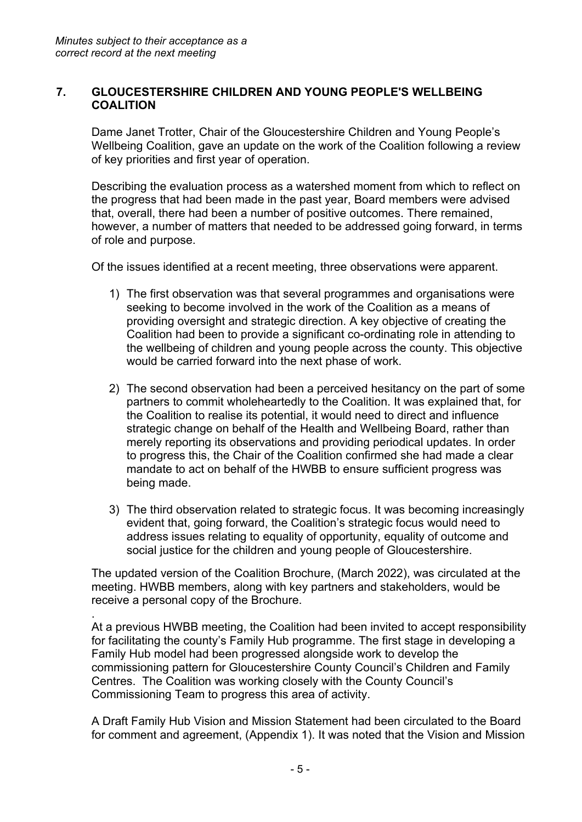.

## **7. GLOUCESTERSHIRE CHILDREN AND YOUNG PEOPLE'S WELLBEING COALITION**

Dame Janet Trotter, Chair of the Gloucestershire Children and Young People's Wellbeing Coalition, gave an update on the work of the Coalition following a review of key priorities and first year of operation.

Describing the evaluation process as a watershed moment from which to reflect on the progress that had been made in the past year, Board members were advised that, overall, there had been a number of positive outcomes. There remained, however, a number of matters that needed to be addressed going forward, in terms of role and purpose.

Of the issues identified at a recent meeting, three observations were apparent.

- 1) The first observation was that several programmes and organisations were seeking to become involved in the work of the Coalition as a means of providing oversight and strategic direction. A key objective of creating the Coalition had been to provide a significant co-ordinating role in attending to the wellbeing of children and young people across the county. This objective would be carried forward into the next phase of work.
- 2) The second observation had been a perceived hesitancy on the part of some partners to commit wholeheartedly to the Coalition. It was explained that, for the Coalition to realise its potential, it would need to direct and influence strategic change on behalf of the Health and Wellbeing Board, rather than merely reporting its observations and providing periodical updates. In order to progress this, the Chair of the Coalition confirmed she had made a clear mandate to act on behalf of the HWBB to ensure sufficient progress was being made.
- 3) The third observation related to strategic focus. It was becoming increasingly evident that, going forward, the Coalition's strategic focus would need to address issues relating to equality of opportunity, equality of outcome and social justice for the children and young people of Gloucestershire.

The updated version of the Coalition Brochure, (March 2022), was circulated at the meeting. HWBB members, along with key partners and stakeholders, would be receive a personal copy of the Brochure.

At a previous HWBB meeting, the Coalition had been invited to accept responsibility for facilitating the county's Family Hub programme. The first stage in developing a Family Hub model had been progressed alongside work to develop the commissioning pattern for Gloucestershire County Council's Children and Family Centres. The Coalition was working closely with the County Council's Commissioning Team to progress this area of activity.

A Draft Family Hub Vision and Mission Statement had been circulated to the Board for comment and agreement, (Appendix 1). It was noted that the Vision and Mission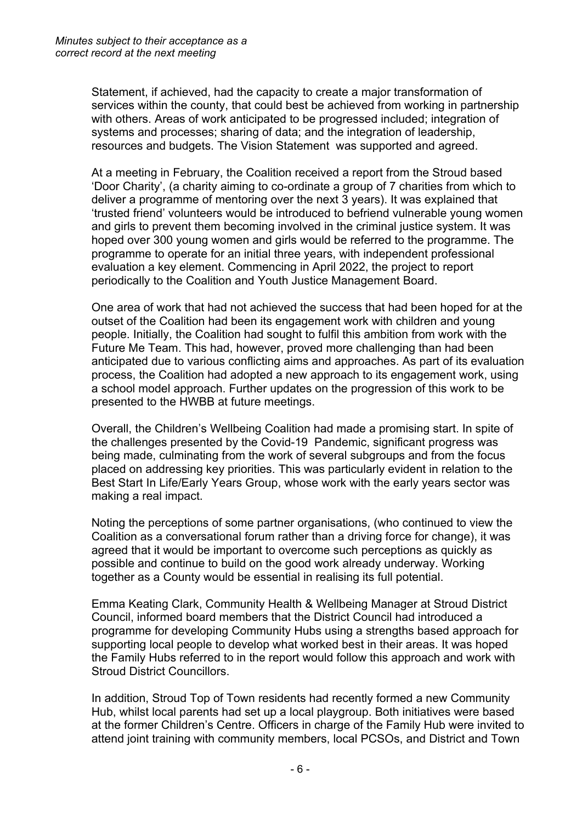Statement, if achieved, had the capacity to create a major transformation of services within the county, that could best be achieved from working in partnership with others. Areas of work anticipated to be progressed included; integration of systems and processes; sharing of data; and the integration of leadership, resources and budgets. The Vision Statement was supported and agreed.

At a meeting in February, the Coalition received a report from the Stroud based 'Door Charity', (a charity aiming to co-ordinate a group of 7 charities from which to deliver a programme of mentoring over the next 3 years). It was explained that 'trusted friend' volunteers would be introduced to befriend vulnerable young women and girls to prevent them becoming involved in the criminal justice system. It was hoped over 300 young women and girls would be referred to the programme. The programme to operate for an initial three years, with independent professional evaluation a key element. Commencing in April 2022, the project to report periodically to the Coalition and Youth Justice Management Board.

One area of work that had not achieved the success that had been hoped for at the outset of the Coalition had been its engagement work with children and young people. Initially, the Coalition had sought to fulfil this ambition from work with the Future Me Team. This had, however, proved more challenging than had been anticipated due to various conflicting aims and approaches. As part of its evaluation process, the Coalition had adopted a new approach to its engagement work, using a school model approach. Further updates on the progression of this work to be presented to the HWBB at future meetings.

Overall, the Children's Wellbeing Coalition had made a promising start. In spite of the challenges presented by the Covid-19 Pandemic, significant progress was being made, culminating from the work of several subgroups and from the focus placed on addressing key priorities. This was particularly evident in relation to the Best Start In Life/Early Years Group, whose work with the early years sector was making a real impact.

Noting the perceptions of some partner organisations, (who continued to view the Coalition as a conversational forum rather than a driving force for change), it was agreed that it would be important to overcome such perceptions as quickly as possible and continue to build on the good work already underway. Working together as a County would be essential in realising its full potential.

Emma Keating Clark, Community Health & Wellbeing Manager at Stroud District Council, informed board members that the District Council had introduced a programme for developing Community Hubs using a strengths based approach for supporting local people to develop what worked best in their areas. It was hoped the Family Hubs referred to in the report would follow this approach and work with Stroud District Councillors.

In addition, Stroud Top of Town residents had recently formed a new Community Hub, whilst local parents had set up a local playgroup. Both initiatives were based at the former Children's Centre. Officers in charge of the Family Hub were invited to attend joint training with community members, local PCSOs, and District and Town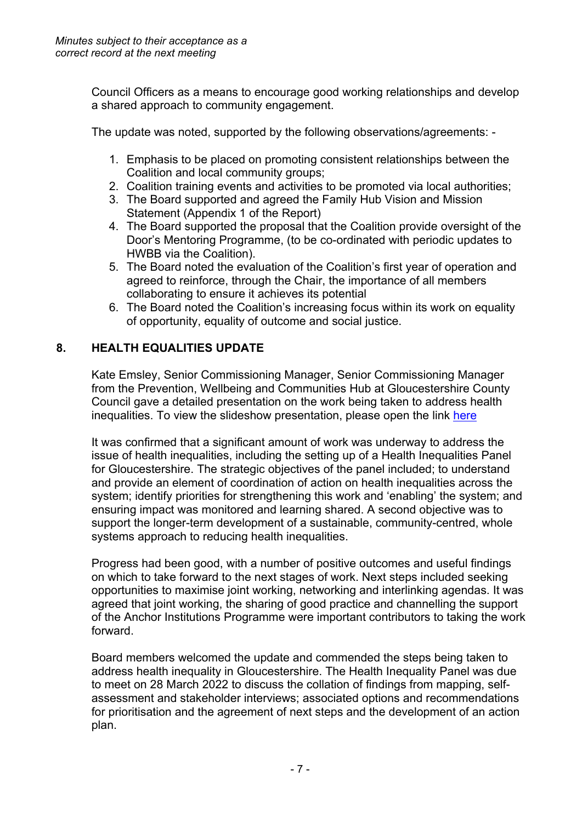Council Officers as a means to encourage good working relationships and develop a shared approach to community engagement.

The update was noted, supported by the following observations/agreements: -

- 1. Emphasis to be placed on promoting consistent relationships between the Coalition and local community groups;
- 2. Coalition training events and activities to be promoted via local authorities;
- 3. The Board supported and agreed the Family Hub Vision and Mission Statement (Appendix 1 of the Report)
- 4. The Board supported the proposal that the Coalition provide oversight of the Door's Mentoring Programme, (to be co-ordinated with periodic updates to HWBB via the Coalition).
- 5. The Board noted the evaluation of the Coalition's first year of operation and agreed to reinforce, through the Chair, the importance of all members collaborating to ensure it achieves its potential
- 6. The Board noted the Coalition's increasing focus within its work on equality of opportunity, equality of outcome and social justice.

# **8. HEALTH EQUALITIES UPDATE**

Kate Emsley, Senior Commissioning Manager, Senior Commissioning Manager from the Prevention, Wellbeing and Communities Hub at Gloucestershire County Council gave a detailed presentation on the work being taken to address health inequalities. To view the slideshow presentation, please open the link [here](https://glostext.gloucestershire.gov.uk/documents/b20773/Health%20Inequalities%20Presentation%20Tuesday%2022-Mar-2022%2010.00%20Gloucestershire%20Health%20Wellbeing%20Boar.pdf?T=9)

It was confirmed that a significant amount of work was underway to address the issue of health inequalities, including the setting up of a Health Inequalities Panel for Gloucestershire. The strategic objectives of the panel included; to understand and provide an element of coordination of action on health inequalities across the system; identify priorities for strengthening this work and 'enabling' the system; and ensuring impact was monitored and learning shared. A second objective was to support the longer-term development of a sustainable, community-centred, whole systems approach to reducing health inequalities.

Progress had been good, with a number of positive outcomes and useful findings on which to take forward to the next stages of work. Next steps included seeking opportunities to maximise joint working, networking and interlinking agendas. It was agreed that joint working, the sharing of good practice and channelling the support of the Anchor Institutions Programme were important contributors to taking the work forward.

Board members welcomed the update and commended the steps being taken to address health inequality in Gloucestershire. The Health Inequality Panel was due to meet on 28 March 2022 to discuss the collation of findings from mapping, selfassessment and stakeholder interviews; associated options and recommendations for prioritisation and the agreement of next steps and the development of an action plan.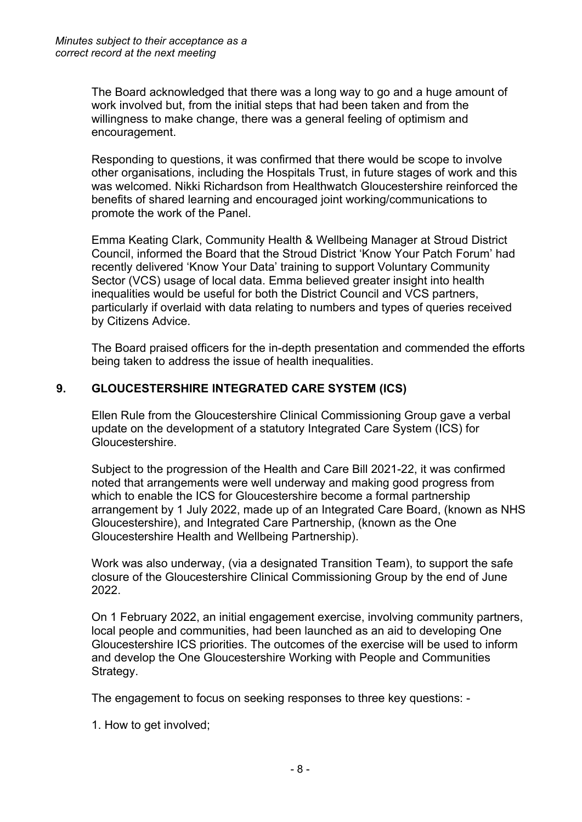The Board acknowledged that there was a long way to go and a huge amount of work involved but, from the initial steps that had been taken and from the willingness to make change, there was a general feeling of optimism and encouragement.

Responding to questions, it was confirmed that there would be scope to involve other organisations, including the Hospitals Trust, in future stages of work and this was welcomed. Nikki Richardson from Healthwatch Gloucestershire reinforced the benefits of shared learning and encouraged joint working/communications to promote the work of the Panel.

Emma Keating Clark, Community Health & Wellbeing Manager at Stroud District Council, informed the Board that the Stroud District 'Know Your Patch Forum' had recently delivered 'Know Your Data' training to support Voluntary Community Sector (VCS) usage of local data. Emma believed greater insight into health inequalities would be useful for both the District Council and VCS partners, particularly if overlaid with data relating to numbers and types of queries received by Citizens Advice.

The Board praised officers for the in-depth presentation and commended the efforts being taken to address the issue of health inequalities.

# **9. GLOUCESTERSHIRE INTEGRATED CARE SYSTEM (ICS)**

Ellen Rule from the Gloucestershire Clinical Commissioning Group gave a verbal update on the development of a statutory Integrated Care System (ICS) for Gloucestershire.

Subject to the progression of the Health and Care Bill 2021-22, it was confirmed noted that arrangements were well underway and making good progress from which to enable the ICS for Gloucestershire become a formal partnership arrangement by 1 July 2022, made up of an Integrated Care Board, (known as NHS Gloucestershire), and Integrated Care Partnership, (known as the One Gloucestershire Health and Wellbeing Partnership).

Work was also underway, (via a designated Transition Team), to support the safe closure of the Gloucestershire Clinical Commissioning Group by the end of June 2022.

On 1 February 2022, an initial engagement exercise, involving community partners, local people and communities, had been launched as an aid to developing One Gloucestershire ICS priorities. The outcomes of the exercise will be used to inform and develop the One Gloucestershire Working with People and Communities Strategy.

The engagement to focus on seeking responses to three key questions: -

1. How to get involved;